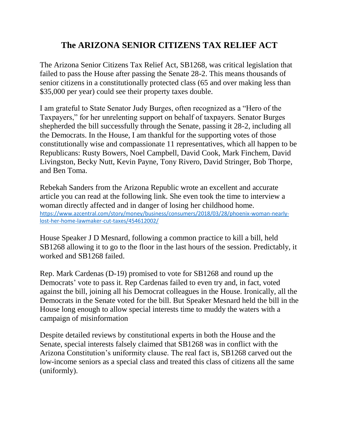## **The ARIZONA SENIOR CITIZENS TAX RELIEF ACT**

The Arizona Senior Citizens Tax Relief Act, SB1268, was critical legislation that failed to pass the House after passing the Senate 28-2. This means thousands of senior citizens in a constitutionally protected class (65 and over making less than \$35,000 per year) could see their property taxes double.

I am grateful to State Senator Judy Burges, often recognized as a "Hero of the Taxpayers," for her unrelenting support on behalf of taxpayers. Senator Burges shepherded the bill successfully through the Senate, passing it 28-2, including all the Democrats. In the House, I am thankful for the supporting votes of those constitutionally wise and compassionate 11 representatives, which all happen to be Republicans: Rusty Bowers, Noel Campbell, David Cook, Mark Finchem, David Livingston, Becky Nutt, Kevin Payne, Tony Rivero, David Stringer, Bob Thorpe, and Ben Toma.

Rebekah Sanders from the Arizona Republic wrote an excellent and accurate article you can read at the following link. She even took the time to interview a woman directly affected and in danger of losing her childhood home. [https://www.azcentral.com/story/money/business/consumers/2018/03/28/phoenix-woman-nearly](https://www.azcentral.com/story/money/business/consumers/2018/03/28/phoenix-woman-nearly-lost-her-home-lawmaker-cut-taxes/454612002/)[lost-her-home-lawmaker-cut-taxes/454612002/](https://www.azcentral.com/story/money/business/consumers/2018/03/28/phoenix-woman-nearly-lost-her-home-lawmaker-cut-taxes/454612002/)

House Speaker J D Mesnard, following a common practice to kill a bill, held SB1268 allowing it to go to the floor in the last hours of the session. Predictably, it worked and SB1268 failed.

Rep. Mark Cardenas (D-19) promised to vote for SB1268 and round up the Democrats' vote to pass it. Rep Cardenas failed to even try and, in fact, voted against the bill, joining all his Democrat colleagues in the House. Ironically, all the Democrats in the Senate voted for the bill. But Speaker Mesnard held the bill in the House long enough to allow special interests time to muddy the waters with a campaign of misinformation

Despite detailed reviews by constitutional experts in both the House and the Senate, special interests falsely claimed that SB1268 was in conflict with the Arizona Constitution's uniformity clause. The real fact is, SB1268 carved out the low-income seniors as a special class and treated this class of citizens all the same (uniformly).